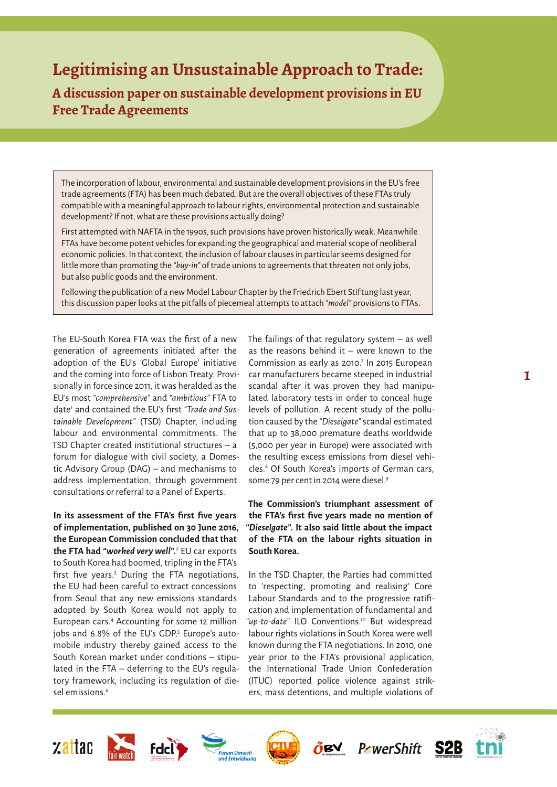# **Legitimising an Unsustainable Approach to Trade:**

**A discussion paper on sustainable development provisions in EU Free Trade Agreements**

The incorporation of labour, environmental and sustainable development provisions in the EU's free trade agreements (FTA) has been much debated. But are the overall objectives of these FTAs truly compatible with a meaningful approach to labour rights, environmental protection and sustainable development? If not, what are these provisions actually doing?

First attempted with NAFTA in the 1990s, such provisions have proven historically weak. Meanwhile FTAs have become potent vehicles for expanding the geographical and material scope of neoliberal economic policies. In that context, the inclusion of labour clauses in particular seems designed for little more than promoting the *"buy-in"* of trade unions to agreements that threaten not only jobs, but also public goods and the environment.

Following the publication of a new Model Labour Chapter by the Friedrich Ebert Stiftung last year, this discussion paper looks at the pitfalls of piecemeal attempts to attach *"model"* provisions to FTAs.

The EU-South Korea FTA was the first of a new generation of agreements initiated after the adoption of the EU's 'Global Europe' initiative and the coming into force of Lisbon Treaty. Provisionally in force since 2011, it was heralded as the EU's most *"comprehensive"* and *"ambitious"* FTA to date1 and contained the EU's first *"Trade and Sustainable Development"* (TSD) Chapter, including labour and environmental commitments. The TSD Chapter created institutional structures – a forum for dialogue with civil society, a Domestic Advisory Group (DAG) – and mechanisms to address implementation, through government consultations or referral to a Panel of Experts.

**In its assessment of the FTA's first five years of implementation, published on 30 June 2016, the European Commission concluded that that the FTA had** *"worked very well"***.** 2 EU car exports to South Korea had boomed, tripling in the FTA's first five years.<sup>3</sup> During the FTA negotiations, the EU had been careful to extract concessions from Seoul that any new emissions standards adopted by South Korea would not apply to European cars.4 Accounting for some 12 million jobs and 6.8% of the EU's GDP,<sup>5</sup> Europe's automobile industry thereby gained access to the South Korean market under conditions – stipulated in the FTA – deferring to the EU's regulatory framework, including its regulation of diesel emissions.<sup>6</sup>

The failings of that regulatory system  $-$  as well as the reasons behind it  $-$  were known to the Commission as early as 2010.<sup>7</sup> In 2015 European car manufacturers became steeped in industrial scandal after it was proven they had manipulated laboratory tests in order to conceal huge levels of pollution. A recent study of the pollution caused by the *"Dieselgate"* scandal estimated that up to 38,000 premature deaths worldwide (5,000 per year in Europe) were associated with the resulting excess emissions from diesel vehicles.8 Of South Korea's imports of German cars, some 79 per cent in 2014 were diesel.<sup>9</sup>

**1**

**The Commission's triumphant assessment of the FTA's first five years made no mention of**  *"Dieselgate"***. It also said little about the impact of the FTA on the labour rights situation in South Korea.** 

In the TSD Chapter, the Parties had committed to 'respecting, promoting and realising' Core Labour Standards and to the progressive ratification and implementation of fundamental and *"up-to-date"* ILO Conventions.10 But widespread labour rights violations in South Korea were well known during the FTA negotiations. In 2010, one year prior to the FTA's provisional application, the International Trade Union Confederation (ITUC) reported police violence against strikers, mass detentions, and multiple violations of

**BY** 

S2B

**PowerShift** 







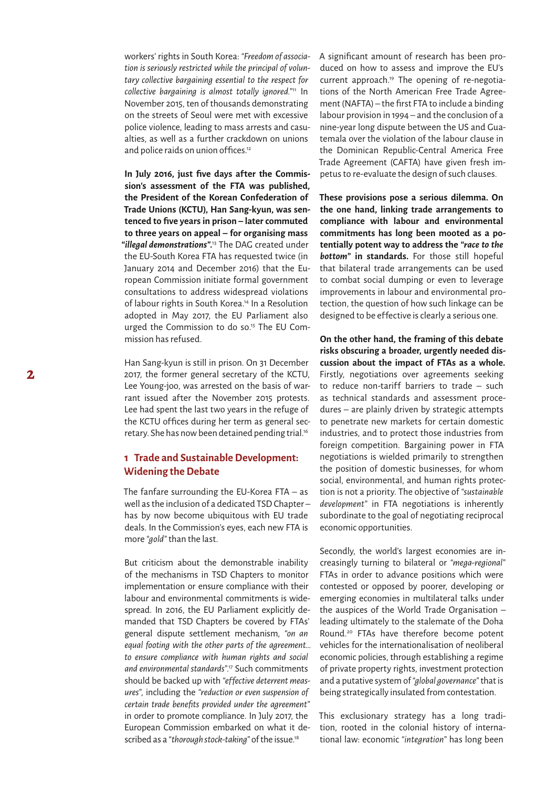workers' rights in South Korea: *"Freedom of association is seriously restricted while the principal of voluntary collective bargaining essential to the respect for collective bargaining is almost totally ignored."*11 In November 2015, ten of thousands demonstrating on the streets of Seoul were met with excessive police violence, leading to mass arrests and casualties, as well as a further crackdown on unions and police raids on union of fices.<sup>12</sup>

In July 2016, just five days after the Commis**sion's assessment of the FTA was published, the President of the Korean Confederation of Trade Unions (KCTU), Han Sang-kyun, was sentenced to five years in prison – later commuted to three years on appeal – for organising mass**  *"illegal demonstrations"***.** 13 The DAG created under the EU-South Korea FTA has requested twice (in January 2014 and December 2016) that the European Commission initiate formal government consultations to address widespread violations of labour rights in South Korea.<sup>14</sup> In a Resolution adopted in May 2017, the EU Parliament also urged the Commission to do so.15 The EU Commission has refused.

Han Sang-kyun is still in prison. On 31 December 2017, the former general secretary of the KCTU, Lee Young-joo, was arrested on the basis of warrant issued after the November 2015 protests. Lee had spent the last two years in the refuge of the KCTU offices during her term as general secretary. She has now been detained pending trial.16

#### **1 Trade and Sustainable Development: Widening the Debate**

The fanfare surrounding the EU-Korea FTA  $-$  as well as the inclusion of a dedicated TSD Chapter – has by now become ubiquitous with EU trade deals. In the Commission's eyes, each new FTA is more *"gold"* than the last.

But criticism about the demonstrable inability of the mechanisms in TSD Chapters to monitor implementation or ensure compliance with their labour and environmental commitments is widespread. In 2016, the EU Parliament explicitly demanded that TSD Chapters be covered by FTAs' general dispute settlement mechanism, *"on an equal footing with the other parts of the agreement… to ensure compliance with human rights and social and environmental standards"*. 17 Such commitments should be backed up with *"ef fective deterrent measures"*, including the *"reduction or even suspension of certain trade benefits provided under the agreement"* in order to promote compliance. In July 2017, the European Commission embarked on what it described as a *"thorough stock-taking"* of the issue.18

A significant amount of research has been produced on how to assess and improve the EU's current approach.19 The opening of re-negotiations of the North American Free Trade Agreement (NAFTA) – the first FTA to include a binding labour provision in 1994 – and the conclusion of a nine-year long dispute between the US and Guatemala over the violation of the labour clause in the Dominican Republic-Central America Free Trade Agreement (CAFTA) have given fresh impetus to re-evaluate the design of such clauses.

**These provisions pose a serious dilemma. On the one hand, linking trade arrangements to compliance with labour and environmental commitments has long been mooted as a potentially potent way to address the** *"race to the bottom"* **in standards.** For those still hopeful that bilateral trade arrangements can be used to combat social dumping or even to leverage improvements in labour and environmental protection, the question of how such linkage can be designed to be effective is clearly a serious one.

**On the other hand, the framing of this debate risks obscuring a broader, urgently needed discussion about the impact of FTAs as a whole.** Firstly, negotiations over agreements seeking to reduce non-tariff barriers to trade  $-$  such as technical standards and assessment procedures – are plainly driven by strategic attempts to penetrate new markets for certain domestic industries, and to protect those industries from foreign competition. Bargaining power in FTA negotiations is wielded primarily to strengthen the position of domestic businesses, for whom social, environmental, and human rights protection is not a priority. The objective of *"sustainable development"* in FTA negotiations is inherently subordinate to the goal of negotiating reciprocal economic opportunities.

Secondly, the world's largest economies are increasingly turning to bilateral or *"mega-regional"*  FTAs in order to advance positions which were contested or opposed by poorer, developing or emerging economies in multilateral talks under the auspices of the World Trade Organisation – leading ultimately to the stalemate of the Doha Round.20 FTAs have therefore become potent vehicles for the internationalisation of neoliberal economic policies, through establishing a regime of private property rights, investment protection and a putative system of *"global governance"* that is being strategically insulated from contestation.

This exclusionary strategy has a long tradition, rooted in the colonial history of international law: economic *"integration"* has long been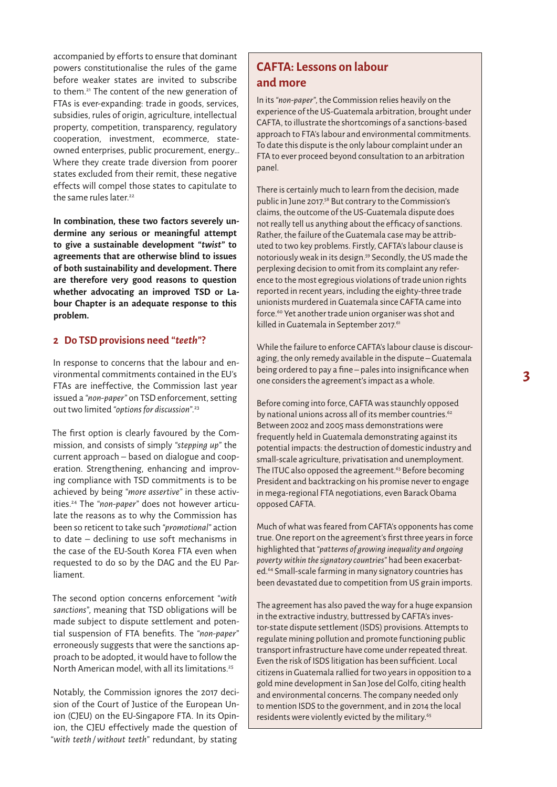accompanied by efforts to ensure that dominant powers constitutionalise the rules of the game before weaker states are invited to subscribe to them.21 The content of the new generation of FTAs is ever-expanding: trade in goods, services, subsidies, rules of origin, agriculture, intellectual property, competition, transparency, regulatory cooperation, investment, ecommerce, stateowned enterprises, public procurement, energy… Where they create trade diversion from poorer states excluded from their remit, these negative ef fects will compel those states to capitulate to the same rules later.<sup>22</sup>

**In combination, these two factors severely undermine any serious or meaningful attempt to give a sustainable development** *"twist"* **to agreements that are otherwise blind to issues of both sustainability and development. There are therefore very good reasons to question whether advocating an improved TSD or Labour Chapter is an adequate response to this problem.** 

#### **2 Do TSD provisions need** *"teeth"***?**

In response to concerns that the labour and environmental commitments contained in the EU's FTAs are ineffective, the Commission last year issued a *"non-paper"* on TSD enforcement, setting out two limited *"options for discussion"*. 23

The first option is clearly favoured by the Commission, and consists of simply *"stepping up"* the current approach – based on dialogue and cooperation. Strengthening, enhancing and improving compliance with TSD commitments is to be achieved by being *"more assertive"* in these activities.24 The *"non-paper"* does not however articulate the reasons as to why the Commission has been so reticent to take such *"promotional"* action to date  $-$  declining to use soft mechanisms in the case of the EU-South Korea FTA even when requested to do so by the DAG and the EU Parliament.

The second option concerns enforcement *"with sanctions"*, meaning that TSD obligations will be made subject to dispute settlement and potential suspension of FTA benefits. The *"non-paper"*  erroneously suggests that were the sanctions approach to be adopted, it would have to follow the North American model, with all its limitations.<sup>25</sup>

Notably, the Commission ignores the 2017 decision of the Court of Justice of the European Union (CJEU) on the EU-Singapore FTA. In its Opinion, the CJEU effectively made the question of *"with teeth /without teeth"* redundant, by stating

## **CAFTA: Lessons on labour and more**

In its *"non-paper"*, the Commission relies heavily on the experience of the US-Guatemala arbitration, brought under CAFTA, to illustrate the shortcomings of a sanctions-based approach to FTA's labour and environmental commitments. To date this dispute is the only labour complaint under an FTA to ever proceed beyond consultation to an arbitration panel.

There is certainly much to learn from the decision, made public in June 2017.58 But contrary to the Commission's claims, the outcome of the US-Guatemala dispute does not really tell us anything about the ef ficacy of sanctions. Rather, the failure of the Guatemala case may be attributed to two key problems. Firstly, CAFTA's labour clause is notoriously weak in its design.59 Secondly, the US made the perplexing decision to omit from its complaint any reference to the most egregious violations of trade union rights reported in recent years, including the eighty-three trade unionists murdered in Guatemala since CAFTA came into force.<sup>60</sup> Yet another trade union organiser was shot and killed in Guatemala in September 2017.<sup>61</sup>

While the failure to enforce CAFTA's labour clause is discouraging, the only remedy available in the dispute – Guatemala being ordered to pay a fine – pales into insignificance when one considers the agreement's impact as a whole.

Before coming into force, CAFTA was staunchly opposed by national unions across all of its member countries.<sup>62</sup> Between 2002 and 2005 mass demonstrations were frequently held in Guatemala demonstrating against its potential impacts: the destruction of domestic industry and small-scale agriculture, privatisation and unemployment. The ITUC also opposed the agreement.<sup>63</sup> Before becoming President and backtracking on his promise never to engage in mega-regional FTA negotiations, even Barack Obama opposed CAFTA.

Much of what was feared from CAFTA's opponents has come true. One report on the agreement's first three years in force highlighted that *"patterns of growing inequality and ongoing poverty within the signatory countries"* had been exacerbated.64 Small-scale farming in many signatory countries has been devastated due to competition from US grain imports.

The agreement has also paved the way for a huge expansion in the extractive industry, buttressed by CAFTA's investor-state dispute settlement (ISDS) provisions. Attempts to regulate mining pollution and promote functioning public transport infrastructure have come under repeated threat. Even the risk of ISDS litigation has been suf ficient. Local citizens in Guatemala rallied for two years in opposition to a gold mine development in San Jose del Golfo, citing health and environmental concerns. The company needed only to mention ISDS to the government, and in 2014 the local residents were violently evicted by the military.<sup>65</sup>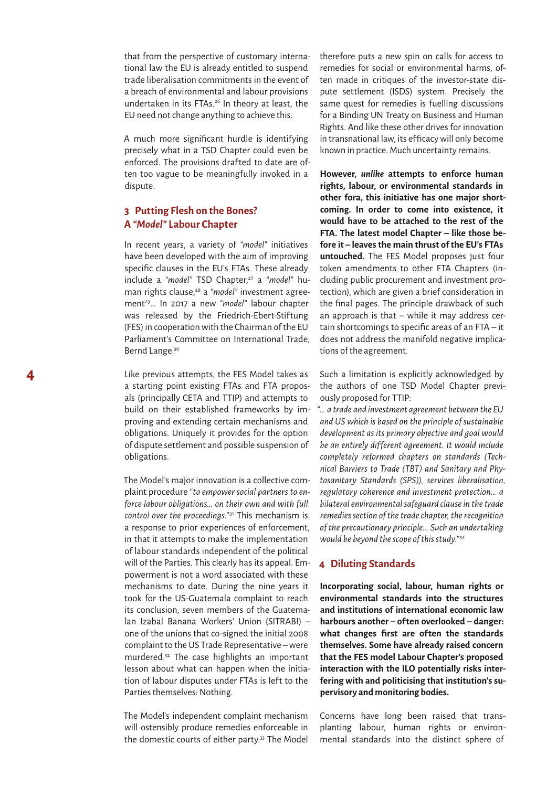that from the perspective of customary international law the EU is already entitled to suspend trade liberalisation commitments in the event of a breach of environmental and labour provisions undertaken in its FTAs.26 In theory at least, the EU need not change anything to achieve this.

A much more significant hurdle is identifying precisely what in a TSD Chapter could even be enforced. The provisions drafted to date are often too vague to be meaningfully invoked in a dispute.

### **3 Putting Flesh on the Bones? A** *"Model"* **Labour Chapter**

In recent years, a variety of *"model"* initiatives have been developed with the aim of improving specific clauses in the EU's FTAs. These already include a "model" TSD Chapter,<sup>27</sup> a "model" human rights clause,28 a *"model"* investment agreement29… In 2017 a new *"model"* labour chapter was released by the Friedrich-Ebert-Stiftung (FES) in cooperation with the Chairman of the EU Parliament's Committee on International Trade, Bernd Lange.<sup>30</sup>

Like previous attempts, the FES Model takes as a starting point existing FTAs and FTA proposals (principally CETA and TTIP) and attempts to build on their established frameworks by improving and extending certain mechanisms and obligations. Uniquely it provides for the option of dispute settlement and possible suspension of obligations.

The Model's major innovation is a collective complaint procedure *"to empower social partners to enforce labour obligations… on their own and with full control over the proceedings."*31 This mechanism is a response to prior experiences of enforcement, in that it attempts to make the implementation of labour standards independent of the political will of the Parties. This clearly has its appeal. Empowerment is not a word associated with these mechanisms to date. During the nine years it took for the US-Guatemala complaint to reach its conclusion, seven members of the Guatemalan Izabal Banana Workers' Union (SITRABI) – one of the unions that co-signed the initial 2008 complaint to the US Trade Representative – were murdered.32 The case highlights an important lesson about what can happen when the initiation of labour disputes under FTAs is left to the Parties themselves: Nothing.

The Model's independent complaint mechanism will ostensibly produce remedies enforceable in the domestic courts of either party.33 The Model therefore puts a new spin on calls for access to remedies for social or environmental harms, often made in critiques of the investor-state dispute settlement (ISDS) system. Precisely the same quest for remedies is fuelling discussions for a Binding UN Treaty on Business and Human Rights. And like these other drives for innovation in transnational law, its efficacy will only become known in practice. Much uncertainty remains.

**However,** *unlike* **attempts to enforce human rights, labour, or environmental standards in other fora, this initiative has one major shortcoming. In order to come into existence, it would have to be attached to the rest of the FTA. The latest model Chapter – like those before it – leaves the main thrust of the EU's FTAs untouched.** The FES Model proposes just four token amendments to other FTA Chapters (including public procurement and investment protection), which are given a brief consideration in the final pages. The principle drawback of such an approach is that  $-$  while it may address certain shortcomings to specific areas of an FTA – it does not address the manifold negative implications of the agreement.

Such a limitation is explicitly acknowledged by the authors of one TSD Model Chapter previously proposed for TTIP:

*"… a trade and investment agreement between the EU and US which is based on the principle of sustainable development as its primary objective and goal would be an entirely dif ferent agreement. It would include completely reformed chapters on standards (Technical Barriers to Trade (TBT) and Sanitary and Phytosanitary Standards (SPS)), services liberalisation, regulatory coherence and investment protection… a bilateral environmental safeguard clause in the trade remedies section of the trade chapter, the recognition of the precautionary principle… Such an undertaking would be beyond the scope of this study."*<sup>34</sup>

#### **4 Diluting Standards**

**Incorporating social, labour, human rights or environmental standards into the structures and institutions of international economic law harbours another – of ten overlooked – danger:**  what changes first are often the standards **themselves. Some have already raised concern that the FES model Labour Chapter's proposed interaction with the ILO potentially risks interfering with and politicising that institution's supervisory and monitoring bodies.**

Concerns have long been raised that transplanting labour, human rights or environmental standards into the distinct sphere of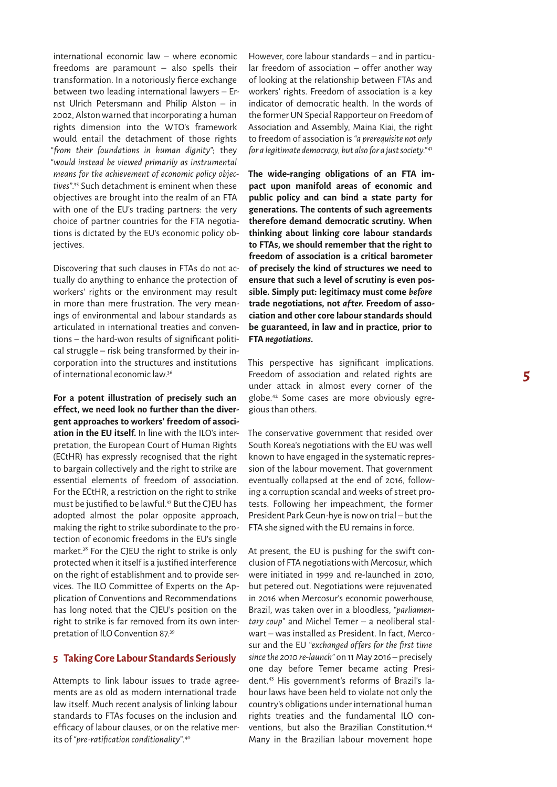international economic law – where economic freedoms are paramount – also spells their transformation. In a notoriously fierce exchange between two leading international lawyers – Ernst Ulrich Petersmann and Philip Alston – in 2002, Alston warned that incorporating a human rights dimension into the WTO's framework would entail the detachment of those rights *"from their foundations in human dignity"*; they *"would instead be viewed primarily as instrumental means for the achievement of economic policy objectives"*. 35 Such detachment is eminent when these objectives are brought into the realm of an FTA with one of the EU's trading partners: the very choice of partner countries for the FTA negotiations is dictated by the EU's economic policy objectives.

Discovering that such clauses in FTAs do not actually do anything to enhance the protection of workers' rights or the environment may result in more than mere frustration. The very meanings of environmental and labour standards as articulated in international treaties and conventions – the hard-won results of significant political struggle – risk being transformed by their incorporation into the structures and institutions of international economic law.36

**For a potent illustration of precisely such an ef fect, we need look no further than the divergent approaches to workers' freedom of association in the EU itself.** In line with the ILO's interpretation, the European Court of Human Rights (ECtHR) has expressly recognised that the right to bargain collectively and the right to strike are essential elements of freedom of association. For the ECtHR, a restriction on the right to strike must be justified to be lawful.37 But the CJEU has adopted almost the polar opposite approach, making the right to strike subordinate to the protection of economic freedoms in the EU's single market.38 For the CJEU the right to strike is only protected when it itself is a justified interference on the right of establishment and to provide services. The ILO Committee of Experts on the Application of Conventions and Recommendations has long noted that the CJEU's position on the right to strike is far removed from its own interpretation of ILO Convention 87.39

#### **5 Taking Core Labour Standards Seriously**

Attempts to link labour issues to trade agreements are as old as modern international trade law itself. Much recent analysis of linking labour standards to FTAs focuses on the inclusion and efficacy of labour clauses, or on the relative merits of *"pre-ratification conditionality"*. 40

However, core labour standards – and in particu $lar$  freedom of association  $-$  offer another way of looking at the relationship between FTAs and workers' rights. Freedom of association is a key indicator of democratic health. In the words of the former UN Special Rapporteur on Freedom of Association and Assembly, Maina Kiai, the right to freedom of association is *"a prerequisite not only for a legitimate democracy, but also for a just society."*<sup>41</sup>

**The wide-ranging obligations of an FTA impact upon manifold areas of economic and public policy and can bind a state party for generations. The contents of such agreements therefore demand democratic scrutiny. When thinking about linking core labour standards to FTAs, we should remember that the right to freedom of association is a critical barometer of precisely the kind of structures we need to ensure that such a level of scrutiny is even possible. Simply put: legitimacy must come** *before*  trade negotiations, not *after*. Freedom of asso**ciation and other core labour standards should be guaranteed, in law and in practice, prior to FTA** *negotiations***.**

This perspective has significant implications. Freedom of association and related rights are under attack in almost every corner of the globe.42 Some cases are more obviously egregious than others.

The conservative government that resided over South Korea's negotiations with the EU was well known to have engaged in the systematic repression of the labour movement. That government eventually collapsed at the end of 2016, following a corruption scandal and weeks of street protests. Following her impeachment, the former President Park Geun-hye is now on trial – but the FTA she signed with the EU remains in force.

At present, the EU is pushing for the swift conclusion of FTA negotiations with Mercosur, which were initiated in 1999 and re-launched in 2010, but petered out. Negotiations were rejuvenated in 2016 when Mercosur's economic powerhouse, Brazil, was taken over in a bloodless, *"parliamentary coup"* and Michel Temer – a neoliberal stalwart – was installed as President. In fact, Mercosur and the EU *"exchanged of fers for the first time since the 2010 re-launch"* on 11 May 2016 – precisely one day before Temer became acting President.43 His government's reforms of Brazil's labour laws have been held to violate not only the country's obligations under international human rights treaties and the fundamental ILO conventions, but also the Brazilian Constitution.<sup>44</sup> Many in the Brazilian labour movement hope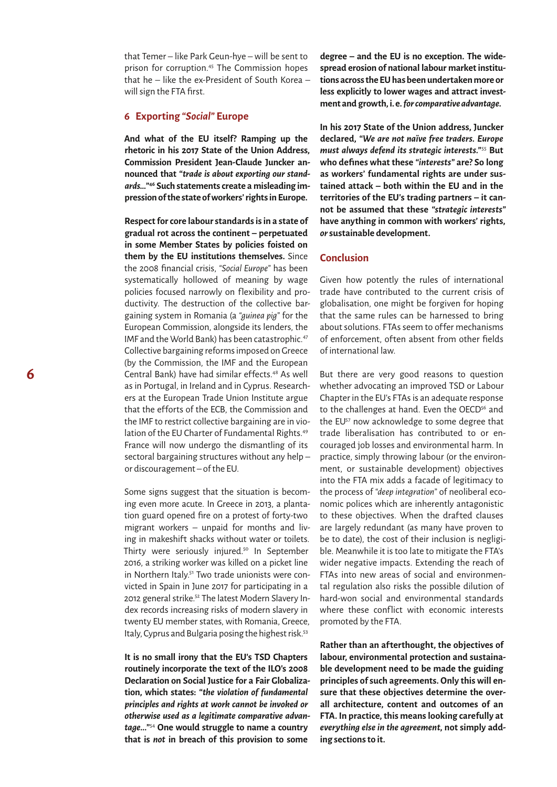that Temer – like Park Geun-hye – will be sent to prison for corruption.45 The Commission hopes that he  $-$  like the ex-President of South Korea  $$ will sign the FTA first.

#### **6 Exporting** *"Social"* **Europe**

**And what of the EU itself? Ramping up the rhetoric in his 2017 State of the Union Address, Commission President Jean-Claude Juncker announced that** *"trade is about exporting our standards…"***46 Such statements create a misleading impression of the state of workers' rights in Europe.** 

**Respect for core labour standards is in a state of gradual rot across the continent – perpetuated in some Member States by policies foisted on them by the EU institutions themselves.** Since the 2008 financial crisis, *"Social Europe"* has been systematically hollowed of meaning by wage policies focused narrowly on flexibility and productivity. The destruction of the collective bargaining system in Romania (a *"guinea pig"* for the European Commission, alongside its lenders, the IMF and the World Bank) has been catastrophic.<sup>47</sup> Collective bargaining reforms imposed on Greece (by the Commission, the IMF and the European Central Bank) have had similar effects.<sup>48</sup> As well as in Portugal, in Ireland and in Cyprus. Researchers at the European Trade Union Institute argue that the efforts of the ECB, the Commission and the IMF to restrict collective bargaining are in violation of the EU Charter of Fundamental Rights.<sup>49</sup> France will now undergo the dismantling of its sectoral bargaining structures without any help – or discouragement – of the EU.

Some signs suggest that the situation is becoming even more acute. In Greece in 2013, a plantation guard opened fire on a protest of forty-two migrant workers – unpaid for months and living in makeshift shacks without water or toilets. Thirty were seriously injured.<sup>50</sup> In September 2016, a striking worker was killed on a picket line in Northern Italy.<sup>51</sup> Two trade unionists were convicted in Spain in June 2017 for participating in a 2012 general strike.<sup>52</sup> The latest Modern Slavery Index records increasing risks of modern slavery in twenty EU member states, with Romania, Greece, Italy, Cyprus and Bulgaria posing the highest risk.<sup>53</sup>

**It is no small irony that the EU's TSD Chapters routinely incorporate the text of the ILO's 2008 Declaration on Social Justice for a Fair Globalization, which states:** *"the violation of fundamental principles and rights at work cannot be invoked or otherwise used as a legitimate comparative advantage..."*<sup>54</sup> **One would struggle to name a country that is** *not* **in breach of this provision to some** 

**degree – and the EU is no exception. The widespread erosion of national labour market institutions across the EU has been undertaken more or less explicitly to lower wages and attract investment and growth, i.e.** *for comparative advantage***.** 

**In his 2017 State of the Union address, Juncker declared,** *"We are not naïve free traders. Europe must always defend its strategic interests."*<sup>55</sup> **But who defines what these** *"interests"* **are? So long as workers' fundamental rights are under sustained attack – both within the EU and in the territories of the EU's trading partners – it cannot be assumed that these** *"strategic interests"*  **have anything in common with workers' rights,**  *or* **sustainable development.** 

#### **Conclusion**

Given how potently the rules of international trade have contributed to the current crisis of globalisation, one might be forgiven for hoping that the same rules can be harnessed to bring about solutions. FTAs seem to offer mechanisms of enforcement, of ten absent from other fields of international law.

But there are very good reasons to question whether advocating an improved TSD or Labour Chapter in the EU's FTAs is an adequate response to the challenges at hand. Even the OECD<sup>56</sup> and the EU<sup>57</sup> now acknowledge to some degree that trade liberalisation has contributed to or encouraged job losses and environmental harm. In practice, simply throwing labour (or the environment, or sustainable development) objectives into the FTA mix adds a facade of legitimacy to the process of *"deep integration"* of neoliberal economic polices which are inherently antagonistic to these objectives. When the drafted clauses are largely redundant (as many have proven to be to date), the cost of their inclusion is negligible. Meanwhile it is too late to mitigate the FTA's wider negative impacts. Extending the reach of FTAs into new areas of social and environmental regulation also risks the possible dilution of hard-won social and environmental standards where these conflict with economic interests promoted by the FTA.

**Rather than an af terthought, the objectives of labour, environmental protection and sustainable development need to be made the guiding principles of such agreements. Only this will ensure that these objectives determine the overall architecture, content and outcomes of an FTA. In practice, this means looking carefully at**  *everything else in the agreement***, not simply adding sections to it.**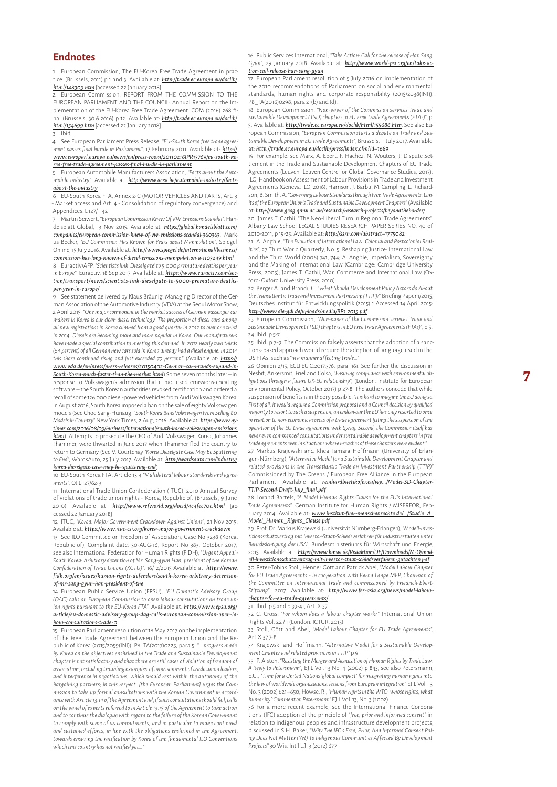1 European Commission, The EU-Korea Free Trade Agreement in practice. (Brussels, 2011) p 1 and 3. Available at: *[http://trade.ec.europa.eu/doclib/](http://trade.ec.europa.eu/doclib/html/148303.htm) [html/148303.htm](http://trade.ec.europa.eu/doclib/html/148303.htm)* [accessed 22 January 2018]

European Commission, REPORT FROM THE COMMISSION TO THE EUROPEAN PARLIAMENT AND THE COUNCIL: Annual Report on the Im plementation of the EU-Korea Free Trade Agreement. COM (2016) 268 fi nal (Brussels, 30.6.2016) p 12. Available at: *[http://trade.ec.europa.eu/doclib/](http://trade.ec.europa.eu/doclib/html/154699.htm) [html/154699.htm](http://trade.ec.europa.eu/doclib/html/154699.htm)* [accessed 22 January 2018]

#### 3 Ibid.

4 See European Parliament Press Release, *"EU-South Korea free trade agree ment passes final hurdle in Parliament"*, 17 February 2011. Available at: *[http://](http://www.europarl.europa.eu/news/en/press-room/20110216IPR13769/eu-south-korea-free-trade-agreement-passes-final-hurdle-in-parliament) [www.europarl.europa.eu/news/en/press-room/20110216IPR13769/eu-south-ko](http://www.europarl.europa.eu/news/en/press-room/20110216IPR13769/eu-south-korea-free-trade-agreement-passes-final-hurdle-in-parliament) [rea-free-trade-agreement-passes-final-hurdle-in-parliament](http://www.europarl.europa.eu/news/en/press-room/20110216IPR13769/eu-south-korea-free-trade-agreement-passes-final-hurdle-in-parliament)*

5 European Automobile Manufacturers Association, *"Facts about the Auto mobile Industry"*. Available at: *[http://www.acea.be/automobile-industry/facts](http://www.acea.be/automobile-industry/facts-about-the-industry)[about-the-industry](http://www.acea.be/automobile-industry/facts-about-the-industry)*

6 EU-South Korea FTA, Annex 2-C (MOTOR VEHICLES AND PARTS, Art. 3 - Market access and Art. 4 - Consolidation of regulatory convergence) and Appendices. L 127/1142

7 Martin Seiwert, *"European Commission Knew Of VW Emissions Scandal"*. Han delsblatt Global, 13 Nov 2015. Available at: *[https://global.handelsblatt.com/](https://global.handelsblatt.com/companies/european-commission-knew-of-vw-emissions-scandal-360363) [companies/european-commission-knew-of-vw-emissions-scandal-360363](https://global.handelsblatt.com/companies/european-commission-knew-of-vw-emissions-scandal-360363)*; Markus Becker, *"EU Commission Has Known for Years about Manipulation"*, Spiegel Online, 15 July 2016. Available at: *[http://www.spiegel.de/international/business/](http://www.spiegel.de/international/business/commission-has-long-known-of-diesel-emissions-manipulation-a-1103249.html) [commission-has-long-known-of-diesel-emissions-manipulation-a-1103249.html](http://www.spiegel.de/international/business/commission-has-long-known-of-diesel-emissions-manipulation-a-1103249.html)* 8 Euractiv/AFP, *"Scientists link 'Dieselgate' to 5,000 premature deaths per year* 

*in Europe"*. Euractiv, 18 Sep 2017. Available at: *[https://www.euractiv.com/sec](https://www.euractiv.com/section/transport/news/scientists-link-dieselgate-to-5000-premature-deaths-per-year-in-europe/) [tion/transport/news/scientists-link-dieselgate-to-5000-premature-deaths](https://www.euractiv.com/section/transport/news/scientists-link-dieselgate-to-5000-premature-deaths-per-year-in-europe/)[per-year-in-europe/](https://www.euractiv.com/section/transport/news/scientists-link-dieselgate-to-5000-premature-deaths-per-year-in-europe/)*

9 See statement delivered by Klaus Bräunig, Managing Director of the German Association of the Automotive Industry (VDA) at the Seoul Motor Show, 2 April 2015: *"One major component in the market success of German passenger car makers in Korea is our clean diesel technology. The proportion of diesel cars among all new registrations in Korea climbed from a good quarter in 2012 to over one third in 2014. Diesels are becoming more and more popular in Korea. Our manufacturers have made a special contribution to meeting this demand. In 2012 nearly two thirds (64 percent) of all German new cars sold in Korea already had a diesel engine. In 2014 this share continued rising and just exceeded 79 percent."* (Available at: *[https://](https://www.vda.de/en/press/press-releases/20150402-German-car-brands-expand-in-South-Korea-much-faster-than-the-market.html) [www.vda.de/en/press/press-releases/20150402-German-car-brands-expand-in-](https://www.vda.de/en/press/press-releases/20150402-German-car-brands-expand-in-South-Korea-much-faster-than-the-market.html)[South-Korea-much-faster-than-the-market.html](https://www.vda.de/en/press/press-releases/20150402-German-car-brands-expand-in-South-Korea-much-faster-than-the-market.html)*) Some seven months later – in response to Volkswagen's admission that it had used emissions-cheating software – the South Korean authorities revoked certification and ordered a recall of some 126,000 diesel-powered vehicles from Audi Volkswagen Korea. In August 2016, South Korea imposed a ban on the sale of eighty Volkswagen models (See Choe Sang-Hunaug, *"South Korea Bans Volkswagen From Selling 80 Models in Country"* New York Times, 2 Aug, 2016. Available at: *[https://www.ny](https://www.nytimes.com/2016/08/03/business/international/south-korea-volkswagen-emissions.html) [times.com/2016/08/03/business/international/south-korea-volkswagen-emissions.](https://www.nytimes.com/2016/08/03/business/international/south-korea-volkswagen-emissions.html) [html](https://www.nytimes.com/2016/08/03/business/international/south-korea-volkswagen-emissions.html)*). Attempts to prosecute the CEO of Audi Volkswagen Korea, Johannes Thammer, were thwarted in June 2017 when Thammer fled the country to return to Germany (See V. Courtenay *"Korea Dieselgate Case May Be Sputtering to End"*, WardsAuto, 25 July 2017. Available at: *[http://wardsauto.com/industry/](http://wardsauto.com/industry/korea-dieselgate-case-may-be-sputtering-end) [korea-dieselgate-case-may-be-sputtering-end](http://wardsauto.com/industry/korea-dieselgate-case-may-be-sputtering-end)* )

10 EU-South Korea FTA, Article 13.4 *"Multilateral labour standards and agree ments"*. OJ L 127/62-3

11 International Trade Union Confederation (ITUC), 2010 Annual Survey of violations of trade union rights - Korea, Republic of. (Brussels, 9 June 2010). Available at: *<http://www.refworld.org/docid/4c4fec70c.html>* [accessed 22 January 2018]

12 ITUC, *"Korea: Major Government Crackdown Against Unions"*, 21 Nov 2015. Available at: *<https://www.ituc-csi.org/korea-major-government-crackdown>*

13 See ILO Committee on Freedom of Association, Case No 3238 (Korea, Republic of), Complaint date: 30-AUG-16, Report No 383, October 2017; see also International Federation for Human Rights (FIDH), *"Urgent Appeal - South Korea: Arbitrary detention of Mr. Sang-gyun Han, president of the Korean Confederation of Trade Unions (KCTU)"*, 16/12/2015 Available at: *[https://www.](https://www.fidh.org/en/issues/human-rights-defenders/south-korea-arbitrary-detention-of-mr-sang-gyun-han-president-of-the) [fidh.org/en/issues/human-rights-defenders/south-korea-arbitrary-detention](https://www.fidh.org/en/issues/human-rights-defenders/south-korea-arbitrary-detention-of-mr-sang-gyun-han-president-of-the)[of-mr-sang-gyun-han-president-of-the](https://www.fidh.org/en/issues/human-rights-defenders/south-korea-arbitrary-detention-of-mr-sang-gyun-han-president-of-the)*

14 European Public Service Union (EPSU), *"EU Domestic Advisory Group (DAG) calls on European Commission to open labour consultations on trade un ion rights pursuant to the EU-Korea FTA"*. Available at: *[https://www.epsu.org/](https://www.epsu.org/article/eu-domestic-advisory-group-dag-calls-european-commission-open-labour-consultations-trade-0) [article/eu-domestic-advisory-group-dag-calls-european-commission-open-la](https://www.epsu.org/article/eu-domestic-advisory-group-dag-calls-european-commission-open-labour-consultations-trade-0) [bour-consultations-trade-0](https://www.epsu.org/article/eu-domestic-advisory-group-dag-calls-european-commission-open-labour-consultations-trade-0)*

15 European Parliament resolution of 18 May 2017 on the implementation of the Free Trade Agreement between the European Union and the Re public of Korea (2015/2059(INI)). P8\_TA(2017)0225, para 5: *"… progress made by Korea on the objectives enshrined in the Trade and Sustainable Development chapter is not satisfactory and that there are still cases of violation of freedom of association, including troubling examples' of imprisonment of trade union leaders, and interference in negotiations, which should rest within the autonomy of the bargaining partners; in this respect, [the European Parliament] urges the Com mission to take up formal consultations with the Korean Government in accord ance with Article 13.14 of the Agreement and, if such consultations should fail, calls on the panel of experts referred to in Article 13.15 of the Agreement to take action and to continue the dialogue with regard to the failure of the Korean Government to comply with some of its commitments, and in particular to make continued and sustained ef forts, in line with the obligations enshrined in the Agreement, towards ensuring the ratification by Korea of the fundamental ILO Conventions which this country has not ratified yet…"*

16 Public Services International, *"Take Action: Call for the release of Han Sang Gyun"*, 29 January 2018. Available at: *[http://www.world-psi.org/en/take-ac](http://www.world-psi.org/en/take-action-call-release-han-sang-gyun) [tion-call-release-han-sang-gyun](http://www.world-psi.org/en/take-action-call-release-han-sang-gyun)*

European Parliament resolution of 5 July 2016 on implementation of the 2010 recommendations of Parliament on social and environmental standards, human rights and corporate responsibility (2015/2038(INI)). P8\_TA(2016)0298, para 21(b) and (d).

18 European Commission, *"Non-paper of the Commission services Trade and Sustainable Development (TSD) chapters in EU Free Trade Agreements (FTAs)"*, p 5. Available at: *<http://trade.ec.europa.eu/doclib/html/155686.htm>*. See also Eu ropean Commission, *"European Commission starts a debate on Trade and Sus tainable Development in EU Trade Agreements"*, Brussels, 11 July 2017. Available at: *<http://trade.ec.europa.eu/doclib/press/index.cfm?id=1689>*

19 For example: see Marx, A. Ebert, F. Hachez, N. Wouters, J. Dispute Settlement in the Trade and Sustainable Development Chapters of EU Trade Agreements (Leuven: Leuven Centre for Global Governance Studies, 2017); ILO, Handbook on Assessment of Labour Provisions in Trade and Investment Agreements (Geneva: ILO, 2016); Harrison, J. Barbu, M. Campling, L. Richard son, B. Smith, A. *"Governing Labour Standards through Free Trade Agreements: Lim its of the European Union's Trade and Sustainable Development Chapters"* (Available at: *<http://www.geog.qmul.ac.uk/research/research-projects/beyondtheborder/>*

20 James T. Gathii. "The Neo-Liberal Turn in Regional Trade Agreements". Albany Law School LEGAL STUDIES RESEARCH PAPER SERIES NO. 40 of 2010-2011, p 19-25. Available at: *<http://ssrn.com/abstract=1775082>*

21 A. Anghie, *"The Evolution of International Law: Colonial and Postcolonial Real ities"*, 27 Third World Quarterly, No. 5: Reshaping Justice: International Law and the Third World (2006) 741, 744; A. Anghie, Imperialism, Sovereignty and the Making of International Law (Cambridge: Cambridge University Press, 2005); James T. Gathii, War, Commerce and International Law (Oxford: Oxford University Press, 2010)

22 Berger A. and Brandi, C. *"What Should Development Policy Actors do About the Transatlantic Trade and Investment Partnership (TTIP)?"* Briefing Paper 1/2015, Deutsches Institut für Entwicklungspolitik (2015) 1 Accessed 14 April 2015: *<http://www.die-gdi.de/uploads/media/BP1.2015.pdf>*

23 European Commission, *"Non-paper of the Commission services Trade and Sustainable Development (TSD) chapters in EU Free Trade Agreements (FTAs)"*, p 5. 24 Ibid. p 5-7

25 Ibid. p 7-9. The Commission falsely asserts that the adoption of a sanctions-based approach would require the adoption of language used in the US FTAs, such as *"in a manner af fecting trade…"*

26 Opinion 2/15, ECLI:EU:C:2017:376, para. 161. See further the discussion in Nesbit, Ankersmit, Friel and Colsa, *"Ensuring compliance with environmental ob ligations through a future UK-EU relationship",* (London: Institute for European Environmental Policy, October 2017) p 27-8. The authors concede that while suspension of benefits is in theory possible, *"it is hard to imagine the EU doing so. First of all, it would require a Commission proposal and a Council decision by qualified majority to resort to such a suspension, an endeavour the EU has only resorted to once in relation to non-economic aspects of a trade agreement [citing the suspension of the operation of the EU trade agreement with Syria]. Second, the Commission itself has never even commenced consultations under sustainable development chapters in free trade agreements even in situations where breaches of these chapters were evident."*

27 Markus Krajewski and Rhea Tamara Hoffmann (University of Erlangen-N ürnberg), *"Alternative Model for a Sustainable Development Chapter and related provisions in the Transatlantic Trade an Investment Partnership (TTIP)"* Commissioned by The Greens / European Free Alliance in the European Parliament. Available at: *[reinhardbuetikofer.eu/wp.../Model-SD-Chapter-](http://reinhardbuetikofer.eu/wp-content/uploads/2016/08/Model-SD-Chapter-TTIP-Second-Draft-July_final.pdf)[TTIP-Second-Draf t-July\\_final.pdf](http://reinhardbuetikofer.eu/wp-content/uploads/2016/08/Model-SD-Chapter-TTIP-Second-Draft-July_final.pdf)*

28 Lorand Bartels, *"A Model Human Rights Clause for the EU's International Trade Agreements"*. German Institute for Human Rights / MISEREOR, Feb ruary 2014. Available at: *[www.institut-fuer-menschenrechte.de/.../Studie\\_A\\_](http://www.institut-fuer-menschenrechte.de/uploads/tx_commerce/Studie_A_Model_Human_Rights_Clause.pdf) [Model\\_Human\\_Rights\\_Clause.pdf](http://www.institut-fuer-menschenrechte.de/uploads/tx_commerce/Studie_A_Model_Human_Rights_Clause.pdf)*

29 Prof. Dr. Markus Krajewski (Universit ät N ürnberg-Erlangen), *"Modell-Inves titionsschutzvertrag mit Investor-Staat-Schiedsverfahren für Industriestaaten unter Berücksichtigung der USA"*. Bundesministeriums für Wirtschaft und Energie, 2015. Available at: *[https://www.bmwi.de/Redaktion/DE/Downloads/M-O/mod](https://www.bmwi.de/Redaktion/DE/Downloads/M-O/modell-investitionsschutzvertrag-mit-investor-staat-schiedsverfahren-gutachten.pdf) [ell-investitionsschutzvertrag-mit-investor-staat-schiedsverfahren-gutachten.pdf](https://www.bmwi.de/Redaktion/DE/Downloads/M-O/modell-investitionsschutzvertrag-mit-investor-staat-schiedsverfahren-gutachten.pdf)* 30 Peter-Tobias Stoll, Henner Gött and Patrick Abel, *"Model Labour Chapter for EU Trade Agreements - In cooperation with Bernd Lange MEP, Chairman of the Committee on International Trade and commissioned by Friedrich-Ebert-Stif tung"*, 2017. Available at: *[http://www.fes-asia.org/news/model-labour-](http://www.fes-asia.org/news/model-labour-chapter-for-eu-trade-agreements/)*

*[chapter-for-eu-trade-agreements/](http://www.fes-asia.org/news/model-labour-chapter-for-eu-trade-agreements/)*

31 Ibid. p 5 and p 39-41, Art. X.37

32 C. Cross, *"For whom does a labour chapter work?"* International Union Rights Vol. 22 / 1 (London: ICTUR, 2015)

33 Stoll, Gött and Abel, *"Model Labour Chapter for EU Trade Agreements"*, Art.X.37.7-8

34 Krajewski and Hoffmann, "Alternative Model for a Sustainable Develop*ment Chapter and related provisions in TTIP"* p 9

35 P. Alston, *"Resisting the Merger and Acquisition of Human Rights by Trade Law: A Reply to Petersmann"*, EJIL Vol. 13 No. 4 (2002) p 843; see also Petersmann, E.U., *"Time for a United Nations 'global compact' for integrating human rights into the law of worldwide organizations: lessons from European integration"* EJIL Vol. 13 No. 3 (2002) 621–650; Howse, R., *"Human rights in the WTO: whose rights, what humanity? Comment on Petersmann"* EJIL Vol. 13, No. 3 (2002).

36 For a more recent example, see the International Finance Corpora tion's (IFC) adoption of the principle of *"free, prior and informed consent"* in relation to indigenous peoples and infrastructure development projects, discussed in S.H. Baker, *"Why The IFC's Free, Prior, And Informed Consent Pol icy Does Not Matter (Yet) To Indigenous Communities Af fected By Development Projects"* 30 Wis. Int'l L.J. 3 (2012) 677